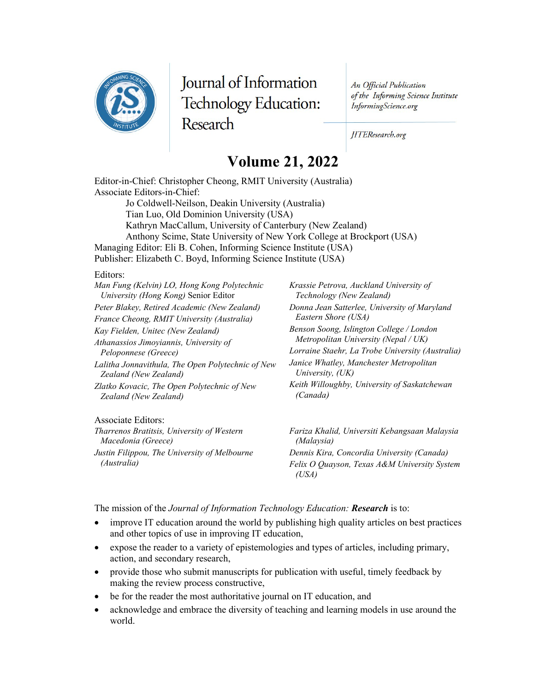

Journal of Information Technology Education: Research

An Official Publication of the Informing Science Institute InformingScience.org

JITEResearch.org

## **Volume 21, 2022**

Editor-in-Chief: Christopher Cheong, RMIT University (Australia) Associate Editors-in-Chief: Jo Coldwell-Neilson, Deakin University (Australia) Tian Luo, Old Dominion University (USA) Kathryn MacCallum, University of Canterbury (New Zealand) Anthony Scime, State University of New York College at Brockport (USA) Managing Editor: Eli B. Cohen, Informing Science Institute (USA) Publisher: Elizabeth C. Boyd, Informing Science Institute (USA)

## Editors:

| Man Fung (Kelvin) LO, Hong Kong Polytechnic                 | Krassie Petrova, Auckland University of               |
|-------------------------------------------------------------|-------------------------------------------------------|
| University (Hong Kong) Senior Editor                        | Technology (New Zealand)                              |
| Peter Blakey, Retired Academic (New Zealand)                | Donna Jean Satterlee, University of Maryland          |
| France Cheong, RMIT University (Australia)                  | Eastern Shore (USA)                                   |
| Kay Fielden, Unitec (New Zealand)                           | Benson Soong, Islington College / London              |
| Athanassios Jimoyiannis, University of                      | Metropolitan University (Nepal / UK)                  |
| Peloponnese (Greece)                                        | Lorraine Staehr, La Trobe University (Australia)      |
| Lalitha Jonnavithula, The Open Polytechnic of New           | Janice Whatley, Manchester Metropolitan               |
| Zealand (New Zealand)                                       | University, $(UK)$                                    |
| Zlatko Kovacic, The Open Polytechnic of New                 | Keith Willoughby, University of Saskatchewan          |
| Zealand (New Zealand)                                       | (Canada)                                              |
| Associate Editors:                                          |                                                       |
| Tharrenos Bratitsis, University of Western                  | Fariza Khalid, Universiti Kebangsaan Malaysia         |
| Macedonia (Greece)                                          | (Malaysia)                                            |
| Justin Filippou, The University of Melbourne<br>(Australia) | Dennis Kira, Concordia University (Canada)            |
|                                                             | Felix O Quayson, Texas A&M University System<br>(USA) |

The mission of the *Journal of Information Technology Education: Research* is to:

- improve IT education around the world by publishing high quality articles on best practices and other topics of use in improving IT education,
- expose the reader to a variety of epistemologies and types of articles, including primary, action, and secondary research,
- provide those who submit manuscripts for publication with useful, timely feedback by making the review process constructive,
- be for the reader the most authoritative journal on IT education, and
- acknowledge and embrace the diversity of teaching and learning models in use around the world.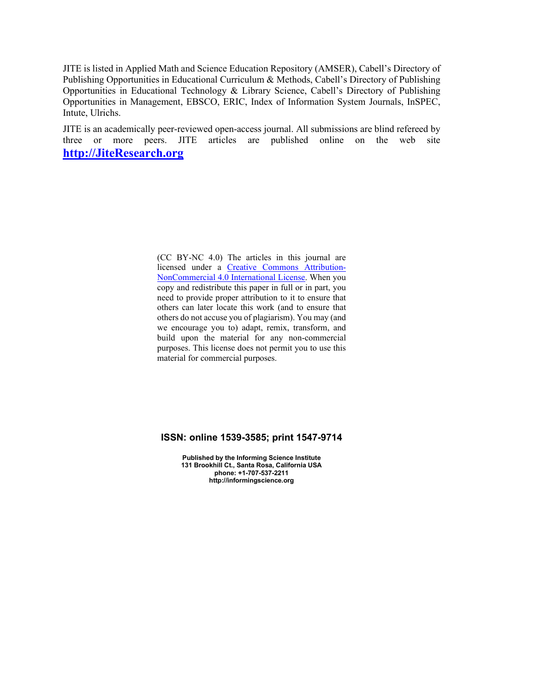JITE is listed in Applied Math and Science Education Repository (AMSER), Cabell's Directory of Publishing Opportunities in Educational Curriculum & Methods, Cabell's Directory of Publishing Opportunities in Educational Technology & Library Science, Cabell's Directory of Publishing Opportunities in Management, EBSCO, ERIC, Index of Information System Journals, InSPEC, Intute, Ulrichs.

JITE is an academically peer-reviewed open-access journal. All submissions are blind refereed by three or more peers. JITE articles are published online on the web site **[http://JiteResearch.org](http://jiteresearch.org/)**

> (CC BY-NC 4.0) The articles in this journal are licensed under a [Creative Commons Attribution-](https://creativecommons.org/licenses/by-nc/4.0/)[NonCommercial 4.0 International License.](https://creativecommons.org/licenses/by-nc/4.0/) When you copy and redistribute this paper in full or in part, you need to provide proper attribution to it to ensure that others can later locate this work (and to ensure that others do not accuse you of plagiarism). You may (and we encourage you to) adapt, remix, transform, and build upon the material for any non-commercial purposes. This license does not permit you to use this material for commercial purposes.

## **ISSN: online 1539-3585; print 1547-9714**

**Published by the Informing Science Institute 131 Brookhill Ct., Santa Rosa, California USA phone: +1-707-537-2211 http://informingscience.org**